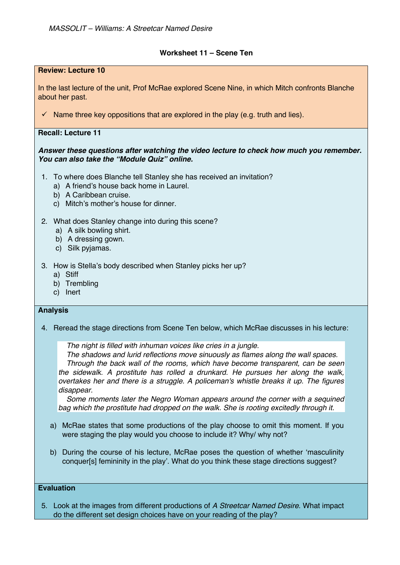## **Worksheet 11 – Scene Ten**

## **Review: Lecture 10** In the last lecture of the unit, Prof McRae explored Scene Nine, in which Mitch confronts Blanche about her past.  $\checkmark$  Name three key oppositions that are explored in the play (e.g. truth and lies). **Recall: Lecture 11** *Answer these questions after watching the video lecture to check how much you remember. You can also take the "Module Quiz" online.*  1. To where does Blanche tell Stanley she has received an invitation? a) A friend's house back home in Laurel. b) A Caribbean cruise. c) Mitch's mother's house for dinner. 2. What does Stanley change into during this scene? a) A silk bowling shirt. b) A dressing gown. c) Silk pyjamas. 3. How is Stella's body described when Stanley picks her up? a) Stiff b) Trembling c) Inert **Analysis** 4. Reread the stage directions from Scene Ten below, which McRae discusses in his lecture: *The night is filled with inhuman voices like cries in a jungle. The shadows and lurid reflections move sinuously as flames along the wall spaces. Through the back wall of the rooms, which have become transparent, can be seen*

*the sidewalk. A prostitute has rolled a drunkard. He pursues her along the walk, overtakes her and there is a struggle. A policeman's whistle breaks it up. The figures disappear.*

*Some moments later the Negro Woman appears around the corner with a sequined bag which the prostitute had dropped on the walk. She is rooting excitedly through it.* 

- a) McRae states that some productions of the play choose to omit this moment. If you were staging the play would you choose to include it? Why/ why not?
- b) During the course of his lecture, McRae poses the question of whether 'masculinity conquer[s] femininity in the play'. What do you think these stage directions suggest?

## **Evaluation**

5. Look at the images from different productions of *A Streetcar Named Desire*. What impact do the different set design choices have on your reading of the play?